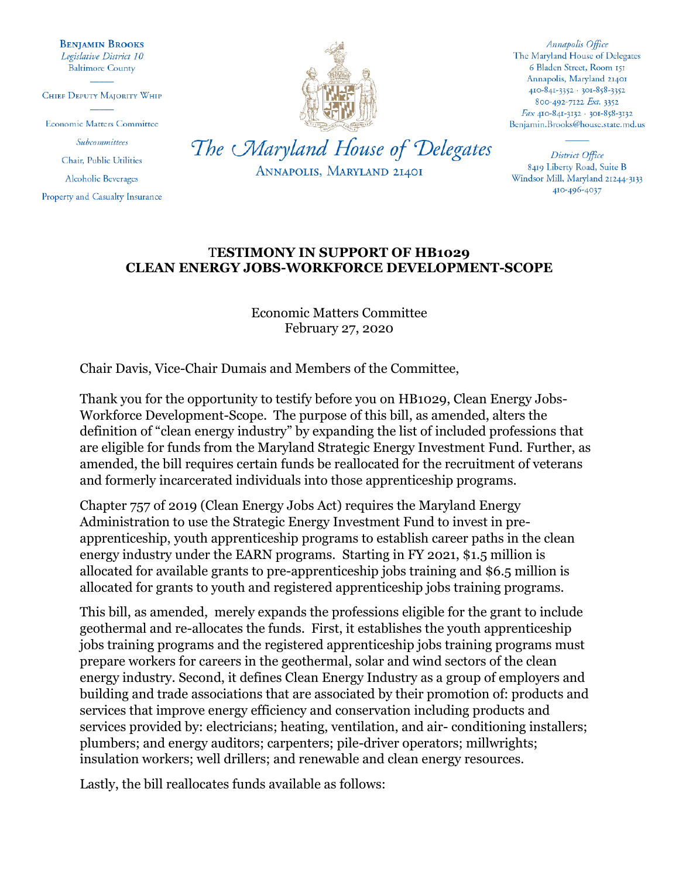**BENJAMIN BROOKS** Legislative District 10 **Baltimore County** 

CHIEF DEPUTY MAJORITY WHIP

**Economic Matters Committee** 

Subcommittees Chair, Public Utilities

**Alcoholic Beverages** 

Property and Casualty Insurance



ANNAPOLIS, MARYLAND 21401

Annapolis Office The Maryland House of Delegates 6 Bladen Street, Room 151 Annapolis, Maryland 21401 410-841-3352 · 301-858-3352 800-492-7122 Ext. 3352 Fax 410-841-3132 · 301-858-3132 Benjamin.Brooks@house.state.md.us

District Office 8419 Liberty Road, Suite B Windsor Mill, Maryland 21244-3133 410-496-4037

## T**ESTIMONY IN SUPPORT OF HB1029 CLEAN ENERGY JOBS-WORKFORCE DEVELOPMENT-SCOPE**

Economic Matters Committee February 27, 2020

Chair Davis, Vice-Chair Dumais and Members of the Committee,

Thank you for the opportunity to testify before you on HB1029, Clean Energy Jobs-Workforce Development-Scope. The purpose of this bill, as amended, alters the definition of "clean energy industry" by expanding the list of included professions that are eligible for funds from the Maryland Strategic Energy Investment Fund. Further, as amended, the bill requires certain funds be reallocated for the recruitment of veterans and formerly incarcerated individuals into those apprenticeship programs.

Chapter 757 of 2019 (Clean Energy Jobs Act) requires the Maryland Energy Administration to use the Strategic Energy Investment Fund to invest in preapprenticeship, youth apprenticeship programs to establish career paths in the clean energy industry under the EARN programs. Starting in FY 2021, \$1.5 million is allocated for available grants to pre-apprenticeship jobs training and \$6.5 million is allocated for grants to youth and registered apprenticeship jobs training programs.

This bill, as amended, merely expands the professions eligible for the grant to include geothermal and re-allocates the funds. First, it establishes the youth apprenticeship jobs training programs and the registered apprenticeship jobs training programs must prepare workers for careers in the geothermal, solar and wind sectors of the clean energy industry. Second, it defines Clean Energy Industry as a group of employers and building and trade associations that are associated by their promotion of: products and services that improve energy efficiency and conservation including products and services provided by: electricians; heating, ventilation, and air- conditioning installers; plumbers; and energy auditors; carpenters; pile-driver operators; millwrights; insulation workers; well drillers; and renewable and clean energy resources.

Lastly, the bill reallocates funds available as follows: